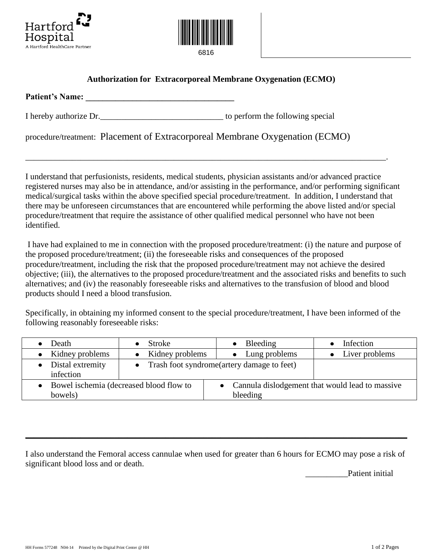



## **Authorization for Extracorporeal Membrane Oxygenation (ECMO)**

| <b>Patient's Name:</b> |  |  |  |
|------------------------|--|--|--|
|                        |  |  |  |

I hereby authorize Dr.\_\_\_\_\_\_\_\_\_\_\_\_\_\_\_\_\_\_\_\_\_\_\_\_\_\_\_\_\_ to perform the following special

procedure/treatment: Placement of Extracorporeal Membrane Oxygenation (ECMO)

I understand that perfusionists, residents, medical students, physician assistants and/or advanced practice registered nurses may also be in attendance, and/or assisting in the performance, and/or performing significant medical/surgical tasks within the above specified special procedure/treatment. In addition, I understand that there may be unforeseen circumstances that are encountered while performing the above listed and/or special procedure/treatment that require the assistance of other qualified medical personnel who have not been identified.

\_\_\_\_\_\_\_\_\_\_\_\_\_\_\_\_\_\_\_\_\_\_\_\_\_\_\_\_\_\_\_\_\_\_\_\_\_\_\_\_\_\_\_\_\_\_\_\_\_\_\_\_\_\_\_\_\_\_\_\_\_\_\_\_\_\_\_\_\_\_\_\_\_\_\_\_\_\_\_\_\_\_\_\_\_.

I have had explained to me in connection with the proposed procedure/treatment: (i) the nature and purpose of the proposed procedure/treatment; (ii) the foreseeable risks and consequences of the proposed procedure/treatment, including the risk that the proposed procedure/treatment may not achieve the desired objective; (iii), the alternatives to the proposed procedure/treatment and the associated risks and benefits to such alternatives; and (iv) the reasonably foreseeable risks and alternatives to the transfusion of blood and blood products should I need a blood transfusion.

Specifically, in obtaining my informed consent to the special procedure/treatment, I have been informed of the following reasonably foreseeable risks:

| Death                                                | Stroke            | Bleeding                                                      | Infection      |  |
|------------------------------------------------------|-------------------|---------------------------------------------------------------|----------------|--|
| • Kidney problems                                    | • Kidney problems | Lung problems                                                 | Liver problems |  |
| Distal extremity<br>infection                        |                   | • Trash foot syndrome(artery damage to feet)                  |                |  |
| • Bowel ischemia (decreased blood flow to<br>bowels) |                   | • Cannula dislodgement that would lead to massive<br>bleeding |                |  |

I also understand the Femoral access cannulae when used for greater than 6 hours for ECMO may pose a risk of significant blood loss and or death.

 $\_$  , and the set of the set of the set of the set of the set of the set of the set of the set of the set of the set of the set of the set of the set of the set of the set of the set of the set of the set of the set of th

Patient initial